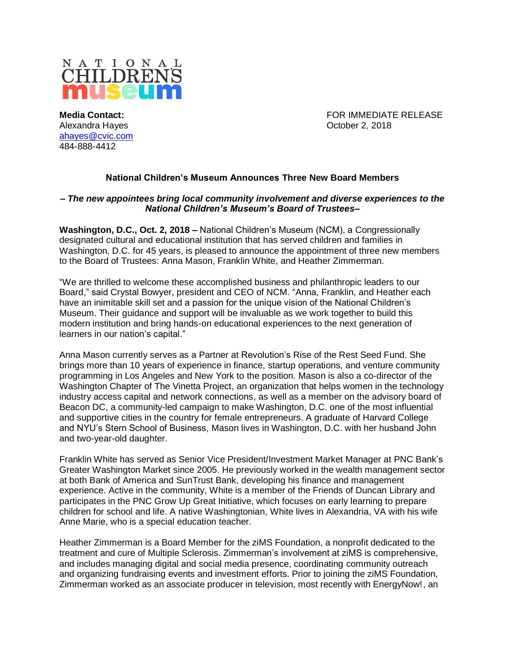

Alexandra Hayes October 2, 2018 [ahayes@cvic.com](mailto:ahayes@cvic.com) 484-888-4412

**Media Contact:** FOR IMMEDIATE RELEASE

## **National Children's Museum Announces Three New Board Members**

## **–** *The new appointees bring local community involvement and diverse experiences to the National Children's Museum's Board of Trustees***–**

**Washington, D.C., Oct. 2, 2018 –** National Children's Museum (NCM), a Congressionally designated cultural and educational institution that has served children and families in Washington, D.C. for 45 years, is pleased to announce the appointment of three new members to the Board of Trustees: Anna Mason, Franklin White, and Heather Zimmerman.

"We are thrilled to welcome these accomplished business and philanthropic leaders to our Board," said Crystal Bowyer, president and CEO of NCM. "Anna, Franklin, and Heather each have an inimitable skill set and a passion for the unique vision of the National Children's Museum. Their guidance and support will be invaluable as we work together to build this modern institution and bring hands-on educational experiences to the next generation of learners in our nation's capital."

Anna Mason currently serves as a Partner at Revolution's Rise of the Rest Seed Fund. She brings more than 10 years of experience in finance, startup operations, and venture community programming in Los Angeles and New York to the position. Mason is also a co-director of the Washington Chapter of The Vinetta Project, an organization that helps women in the technology industry access capital and network connections, as well as a member on the advisory board of Beacon DC, a community-led campaign to make Washington, D.C. one of the most influential and supportive cities in the country for female entrepreneurs. A graduate of Harvard College and NYU's Stern School of Business, Mason lives in Washington, D.C. with her husband John and two-year-old daughter.

Franklin White has served as Senior Vice President/Investment Market Manager at PNC Bank's Greater Washington Market since 2005. He previously worked in the wealth management sector at both Bank of America and SunTrust Bank, developing his finance and management experience. Active in the community, White is a member of the Friends of Duncan Library and participates in the PNC Grow Up Great Initiative, which focuses on early learning to prepare children for school and life. A native Washingtonian, White lives in Alexandria, VA with his wife Anne Marie, who is a special education teacher.

Heather Zimmerman is a Board Member for the ziMS Foundation, a nonprofit dedicated to the treatment and cure of Multiple Sclerosis. Zimmerman's involvement at ziMS is comprehensive, and includes managing digital and social media presence, coordinating community outreach and organizing fundraising events and investment efforts. Prior to joining the ziMS Foundation, Zimmerman worked as an associate producer in television, most recently with EnergyNow!, an